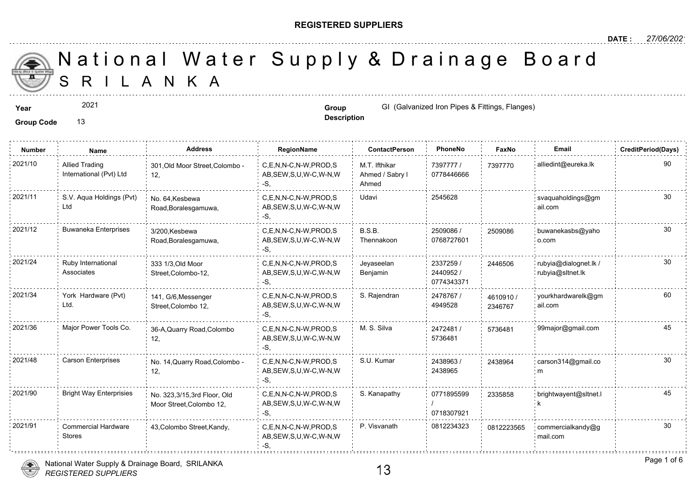#### **REGISTERED SUPPLIERS**

**Description**

A N K A National Water Supply & Drainage

Group Code 13

**Number Name Address RegionName ContactPerson PhoneNo FaxNo Email CreditPeriod(Days)** 7397777 / 73977 0778446666 M.T. Ifthikar Ahmed / Sabry l Ahmed C,E,N,N-C,N-W,PROD,S AB,SEW,S,U,W-C,W-N,W -S, 2021/10 Allied Trading 301,Old Moor Street,Colombo - C,E,N,N-C,N-W,PROD,S M.T. Ifthikar 7397777 / 739777 12, Allied Trading International (Pvt) Ltd 2021/11 S.V. Aqua Holdings (Pvt) No. 64,Kesbewa C,E,N,N-C,N-W,PROD,S Udavi 2545628 AB,SEW,S,U,W-C,W-N,W -S, No. 64,Kesbewa Road,Boralesgamuwa, S.V. Aqua Holdings (Pvt) Ltd 2509086 / 0768727601 B.S.B. Thennakoon 2021/12 Buwaneka Enterprises 3/200 Kesbewa C,E,N,N-C,N-W,PROD,S B.S.B. 2509086 / 250908 AB,SEW,S,U,W-C,W-N,W -S, 3/200,Kesbewa Road,Boralesgamuwa, 250908 2337259 / 2440952 / 0774343371 Jeyaseelan Benjamin 2021/24 Ruby International 333 1/3 Old Moor C,E,N,N-C,N-W,PROD,S Jeyaseelan 2337259 / 244650 AB,SEW,S,U,W-C,W-N,W -S, 333 1/3,Old Moor Street,Colombo-12, Ruby International Associates 24465 2478767 / 4949528 2021/34 York Hardware (Pvt) 141, G/6, Messenger C,E,N,N-C,N-W, PROD,S S. Rajendran 2478767 / 46109 AB,SEW,S,U,W-C,W-N,W -S, 141, G/6,Messenger Street,Colombo 12, York Hardware (Pvt) Ltd. 46109<sup></sup> 234676 2472481 / 57364 5736481 C,E,N,N-C,N-W,PROD,S M. S. Silva AB,SEW,S,U,W-C,W-N,W -S, 2021/36 Major Power Tools Co. 36-A,Quarry Road,Colombo C,E,N,N-C,N-W,PROD,S M. S. Silva 2472481 / 573648 12, 2438963 / 2438965 C,E,N,N-C,N-W,PROD,S S.U. Kumar AB,SEW,S,U,W-C,W-N,W -S, 2021/48 Carson Enterprises No. 14,Quarry Road,Colombo - C,E,N,N-C,N-W,PROD,S S.U. Kumar 2438963 / 243896 12, 243896 0771895599 / 0718307921 C,E,N,N-C,N-W,PROD,S S. Kanapathy AB,SEW,S,U,W-C,W-N,W  $-S$ 2021/90 Bright Way Enterprisies No. 323,3/15,3rd Floor, Old C,E,N,N-C,N-W,PROD,S S. Kanapathy 0771895599 233585 Moor Street,Colombo 12, 23358  $C, E, N, N-C, N-W, PROD, S$  P. Visvanath 0812234323 AB,SEW,S,U,W-C,W-N,W -S, 2021/91 commercial Hardware 43,Colombo Street,Kandy, chemic C,E,N,N-C,N-W,PROD,S P. Visvanath 0812234323 081222 Stores 081222



**Year Group Group** GI (Galvanized Iron Pipes & Fittings, I 2021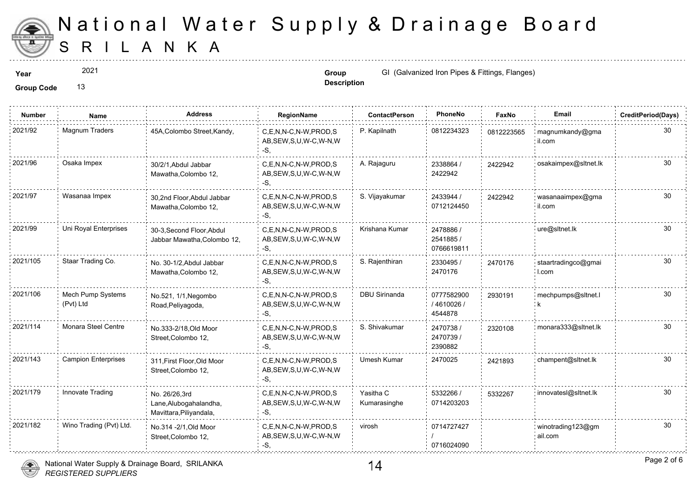

2021

**Description**

**Year Group Group GI** (Galvanized Iron Pipes & Fittings, I

| <b>Number</b> | Name                           | Address                                                            | <b>RegionName</b>                                            | <b>ContactPerson</b>      | PhoneNo                              | Faxl   |
|---------------|--------------------------------|--------------------------------------------------------------------|--------------------------------------------------------------|---------------------------|--------------------------------------|--------|
| 2021/92       | Magnum Traders                 | 45A, Colombo Street, Kandy,                                        | C.E.N.N-C.N-W.PROD.S<br>AB, SEW, S, U, W-C, W-N, W<br>-S,    | P. Kapilnath              | 0812234323                           | 081222 |
| 2021/96       | Osaka Impex                    | 30/2/1, Abdul Jabbar<br>Mawatha, Colombo 12,                       | C,E,N,N-C,N-W,PROD,S<br>AB, SEW, S, U, W-C, W-N, W<br>-S,    | A. Rajaguru               | 2338864 /<br>2422942                 | 242294 |
| 2021/97       | Wasanaa Impex                  | 30,2nd Floor, Abdul Jabbar<br>Mawatha, Colombo 12,                 | C,E,N,N-C,N-W,PROD,S<br>AB, SEW, S, U, W-C, W-N, W<br>-S,    | S. Vijayakumar            | 2433944 /<br>0712124450              | 242294 |
| 2021/99       | Uni Royal Enterprises          | 30-3, Second Floor, Abdul<br>Jabbar Mawatha, Colombo 12,           | C.E.N.N-C.N-W.PROD.S<br>AB, SEW, S, U, W-C, W-N, W<br>-S,    | Krishana Kumar            | 2478886 /<br>2541885 /<br>0766619811 |        |
| 2021/105      | Staar Trading Co.              | No. 30-1/2, Abdul Jabbar<br>Mawatha, Colombo 12,                   | C,E,N,N-C,N-W,PROD,S<br>AB, SEW, S, U, W-C, W-N, W<br>-S,    | S. Rajenthiran            | 2330495 /<br>2470176                 | 247017 |
| 2021/106      | Mech Pump Systems<br>(Pvt) Ltd | No.521, 1/1, Negombo<br>Road, Peliyagoda,                          | C,E,N,N-C,N-W,PROD,S<br>AB, SEW, S, U, W-C, W-N, W<br>-S.    | <b>DBU Sirinanda</b>      | 0777582900<br>/4610026/<br>4544878   | 293019 |
| 2021/114      | Monara Steel Centre            | No.333-2/18, Old Moor<br>Street, Colombo 12,                       | C.E.N.N-C.N-W.PROD.S<br>AB, SEW, S, U, W-C, W-N, W<br>$-S$ . | S. Shivakumar             | 2470738 /<br>2470739 /<br>2390882    | 232010 |
| 2021/143      | <b>Campion Enterprises</b>     | 311, First Floor, Old Moor<br>Street, Colombo 12,                  | C.E.N.N-C.N-W.PROD.S<br>AB, SEW, S, U, W-C, W-N, W<br>$-S$ . | Umesh Kumar               | 2470025                              | 242189 |
| 2021/179      | Innovate Trading               | No. 26/26,3rd<br>Lane, Alubogahalandha,<br>Mavittara, Piliyandala, | C,E,N,N-C,N-W,PROD,S<br>AB, SEW, S, U, W-C, W-N, W<br>-S.    | Yasitha C<br>Kumarasinghe | 5332266 /<br>0714203203              | 533226 |
| 2021/182      | Wino Trading (Pvt) Ltd.        | No.314 - 2/1, Old Moor<br>Street, Colombo 12,                      | C,E,N,N-C,N-W,PROD,S<br>AB, SEW, S, U, W-C, W-N, W<br>-S,    | virosh                    | 0714727427<br>0716024090             |        |

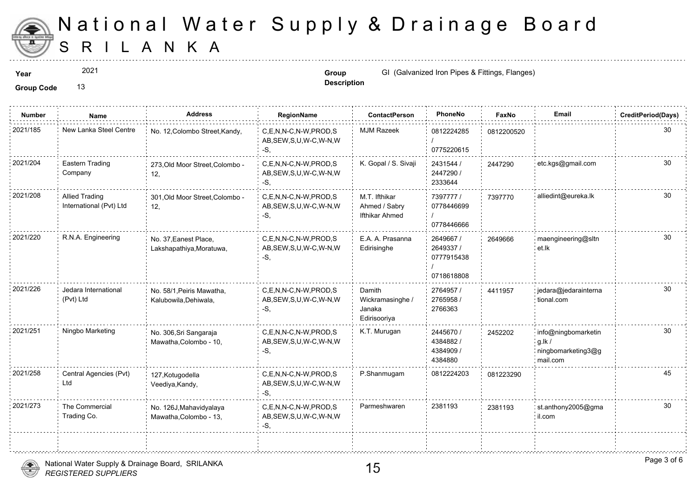

2021

**Description**

**Year Group Group** GI (Galvanized Iron Pipes & Fittings, I

| <b>Number</b> | Name                                             | Address                                            | RegionName                                                   | <b>ContactPerson</b>                                 | PhoneNo                                            | Faxl   |
|---------------|--------------------------------------------------|----------------------------------------------------|--------------------------------------------------------------|------------------------------------------------------|----------------------------------------------------|--------|
| 2021/185      | New Lanka Steel Centre                           | No. 12, Colombo Street, Kandy,                     | C,E,N,N-C,N-W,PROD,S<br>AB, SEW, S, U, W-C, W-N, W<br>$-S$ . | <b>MJM Razeek</b>                                    | 0812224285<br>0775220615                           | 081220 |
| 2021/204      | Eastern Trading<br>Company                       | 273, Old Moor Street, Colombo -<br>12,             | C,E,N,N-C,N-W,PROD,S<br>AB, SEW, S, U, W-C, W-N, W<br>-S.    | K. Gopal / S. Sivaji                                 | 2431544 /<br>2447290 /<br>2333644                  | 244729 |
| 2021/208      | <b>Allied Trading</b><br>International (Pvt) Ltd | 301, Old Moor Street, Colombo -<br>12,             | C.E.N.N-C.N-W.PROD.S<br>AB, SEW, S, U, W-C, W-N, W<br>$-S$ . | M.T. Ifthikar<br>Ahmed / Sabry<br>Ifthikar Ahmed     | 7397777 /<br>0778446699<br>0778446666              | 739777 |
| 2021/220      | R.N.A. Engineering                               | No. 37, Eanest Place,<br>Lakshapathiya, Moratuwa,  | C.E.N.N-C.N-W.PROD.S<br>AB, SEW, S, U, W-C, W-N, W<br>-S,    | E.A. A. Prasanna<br>Edirisinghe                      | 2649667 /<br>2649337 /<br>0777915438<br>0718618808 | 264966 |
| 2021/226      | Jedara International<br>(Pvt) Ltd                | No. 58/1, Peiris Mawatha,<br>Kalubowila, Dehiwala, | C.E.N.N-C.N-W.PROD.S<br>AB, SEW, S, U, W-C, W-N, W<br>-S,    | Damith<br>Wickramasinghe /<br>Janaka<br>Edirisooriya | 2764957 /<br>2765958 /<br>2766363                  | 441195 |
| 2021/251      | Ningbo Marketing                                 | No. 306, Sri Sangaraja<br>Mawatha, Colombo - 10,   | C,E,N,N-C,N-W,PROD,S<br>AB, SEW, S, U, W-C, W-N, W<br>$-S$ , | K.T. Murugan                                         | 2445670 /<br>4384882/<br>4384909 /<br>4384880      | 245220 |
| 2021/258      | Central Agencies (Pvt)<br>Ltd                    | 127, Kotugodella<br>Veediya, Kandy,                | C,E,N,N-C,N-W,PROD,S<br>AB, SEW, S, U, W-C, W-N, W<br>-S,    | P.Shanmugam                                          | 0812224203                                         | 081223 |
| 2021/273      | The Commercial<br>Trading Co.                    | No. 126J, Mahavidyalaya<br>Mawatha, Colombo - 13,  | C.E.N.N-C.N-W.PROD.S<br>AB, SEW, S, U, W-C, W-N, W<br>-S,    | Parmeshwaren                                         | 2381193                                            | 238119 |
|               |                                                  |                                                    |                                                              |                                                      |                                                    |        |

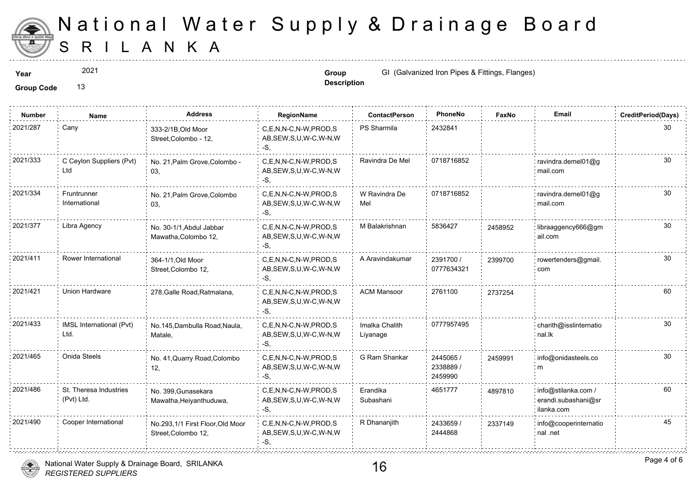

2021

**Description**

**Year Group Group GI** (Galvanized Iron Pipes & Fittings, I

| <b>Number</b> | Name                                 | <b>Address</b>                                          | RegionName                                                | <b>ContactPerson</b>       | PhoneNo                           | Faxl   |
|---------------|--------------------------------------|---------------------------------------------------------|-----------------------------------------------------------|----------------------------|-----------------------------------|--------|
| 2021/287      | Cany                                 | 333-2/1B, Old Moor<br>Street, Colombo - 12,             | C,E,N,N-C,N-W,PROD,S<br>AB, SEW, S, U, W-C, W-N, W<br>-S. | PS Sharmila                | 2432841                           |        |
| 2021/333      | C Ceylon Suppliers (Pvt)<br>Ltd      | No. 21, Palm Grove, Colombo -<br>03,                    | C.E.N.N-C.N-W.PROD.S<br>AB, SEW, S, U, W-C, W-N, W<br>-S. | Ravindra De Mel            | 0718716852                        |        |
| 2021/334      | Fruntrunner<br>International         | No. 21, Palm Grove, Colombo<br>03,                      | C.E.N.N-C.N-W.PROD.S<br>AB, SEW, S, U, W-C, W-N, W<br>-S. | W Ravindra De<br>Mel       | 0718716852                        |        |
| 2021/377      | Libra Agency                         | No. 30-1/1 Abdul Jabbar<br>Mawatha, Colombo 12,         | C,E,N,N-C,N-W,PROD,S<br>AB, SEW, S, U, W-C, W-N, W<br>-S. | M Balakrishnan             | 5836427                           | 245895 |
| 2021/411      | Rower International                  | 364-1/1, Old Moor<br>Street, Colombo 12,                | C,E,N,N-C,N-W,PROD,S<br>AB, SEW, S, U, W-C, W-N, W<br>-S. | A Aravindakumar            | 2391700 /<br>0777634321           | 239970 |
| 2021/421      | Union Hardware                       | 278, Galle Road, Ratmalana,                             | C.E.N.N-C.N-W.PROD.S<br>AB, SEW, S, U, W-C, W-N, W<br>-S. | <b>ACM Mansoor</b>         | 2761100                           | 273725 |
| 2021/433      | IMSL International (Pvt)<br>Ltd.     | No.145, Dambulla Road, Naula,<br>Matale,                | C,E,N,N-C,N-W,PROD,S<br>AB, SEW, S, U, W-C, W-N, W<br>-S. | Imalka Chalith<br>Liyanage | 0777957495                        |        |
| 2021/465      | Onida Steels                         | No. 41, Quarry Road, Colombo<br>12,                     | C.E.N.N-C.N-W.PROD.S<br>AB, SEW, S, U, W-C, W-N, W<br>-S. | G Ram Shankar              | 2445065 /<br>2338889 /<br>2459990 | 245999 |
| 2021/486      | St. Theresa Industries<br>(Pvt) Ltd. | No. 399, Gunasekara<br>Mawatha, Heiyanthuduwa,          | C.E.N.N-C.N-W.PROD.S<br>AB, SEW, S, U, W-C, W-N, W<br>-S, | Erandika<br>Subashani      | 4651777                           | 489781 |
| 2021/490      | Cooper International                 | No.293,1/1 First Floor, Old Moor<br>Street, Colombo 12, | C.E.N.N-C.N-W.PROD.S<br>AB, SEW, S, U, W-C, W-N, W<br>-S, | R Dhananjith               | 2433659 /<br>2444868              | 233714 |
|               |                                      |                                                         |                                                           |                            |                                   |        |

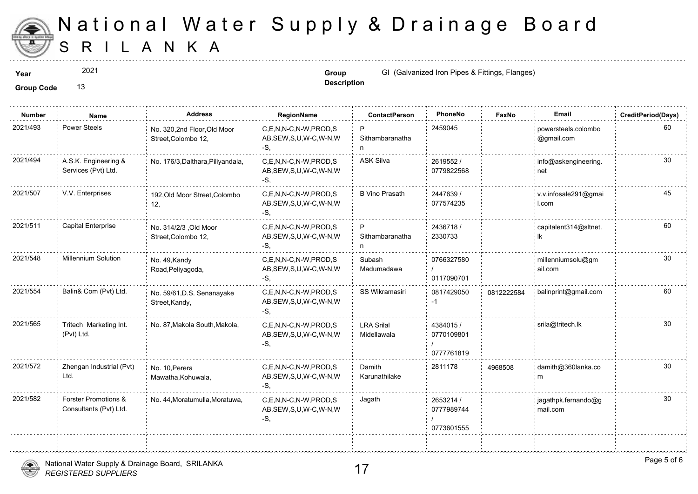

2021

**Description**

**Year Group Group** GI (Galvanized Iron Pipes & Fittings, I

Group Code 13

| <b>Number</b> | Name                                           | <b>Address</b>                                    | RegionName                                                   | <b>ContactPerson</b>             | PhoneNo                               | Faxl   |
|---------------|------------------------------------------------|---------------------------------------------------|--------------------------------------------------------------|----------------------------------|---------------------------------------|--------|
| 2021/493      | <b>Power Steels</b>                            | No. 320,2nd Floor,Old Moor<br>Street, Colombo 12, | C,E,N,N-C,N-W,PROD,S<br>AB, SEW, S, U, W-C, W-N, W<br>-S.    | P<br>Sithambaranatha<br>n        | 2459045                               |        |
| 2021/494      | A.S.K. Engineering &<br>Services (Pvt) Ltd.    | No. 176/3, Dalthara, Piliyandala,                 | C,E,N,N-C,N-W,PROD,S<br>AB, SEW, S, U, W-C, W-N, W<br>$-S$ . | <b>ASK Silva</b>                 | 2619552/<br>0779822568                |        |
| 2021/507      | V.V. Enterprises                               | 192, Old Moor Street, Colombo<br>12,              | C.E.N.N-C.N-W.PROD.S<br>AB, SEW, S, U, W-C, W-N, W<br>-S,    | <b>B Vino Prasath</b>            | 2447639/<br>077574235                 |        |
| 2021/511      | <b>Capital Enterprise</b>                      | No. 314/2/3 , Old Moor<br>Street, Colombo 12,     | C,E,N,N-C,N-W,PROD,S<br>AB, SEW, S, U, W-C, W-N, W<br>$-S,$  | P<br>Sithambaranatha<br>n        | 2436718 /<br>2330733                  |        |
| 2021/548      | Millennium Solution                            | No. 49, Kandy<br>Road, Peliyagoda,                | C.E.N.N-C.N-W.PROD.S<br>AB, SEW, S, U, W-C, W-N, W<br>-S,    | Subash<br>Madumadawa             | 0766327580<br>0117090701              |        |
| 2021/554      | Balin& Com (Pvt) Ltd.                          | No. 59/61, D.S. Senanayake<br>Street, Kandy,      | C.E.N.N-C.N-W.PROD.S<br>AB, SEW, S, U, W-C, W-N, W<br>-S.    | <b>SS Wikramasiri</b>            | 0817429050<br>-1                      | 081222 |
| 2021/565      | Tritech Marketing Int.<br>(Pvt) Ltd.           | No. 87, Makola South, Makola,                     | C,E,N,N-C,N-W,PROD,S<br>AB, SEW, S, U, W-C, W-N, W<br>$-S,$  | <b>LRA Srilal</b><br>Midellawala | 4384015 /<br>0770109801<br>0777761819 |        |
| 2021/572      | Zhengan Industrial (Pvt)<br>Ltd.               | No. 10, Perera<br>Mawatha, Kohuwala,              | C,E,N,N-C,N-W,PROD,S<br>AB, SEW, S, U, W-C, W-N, W<br>-S.    | Damith<br>Karunathilake          | 2811178                               | 496850 |
| 2021/582      | Forster Promotions &<br>Consultants (Pvt) Ltd. | No. 44, Moratumulla, Moratuwa,                    | C.E.N.N-C.N-W.PROD.S<br>AB, SEW, S, U, W-C, W-N, W<br>$-S$ . | Jagath                           | 2653214 /<br>0777989744<br>0773601555 |        |
|               |                                                |                                                   |                                                              |                                  |                                       |        |

*REGISTERED SUPPLIERS* National Water Supply & Drainage Board, SRILANKA